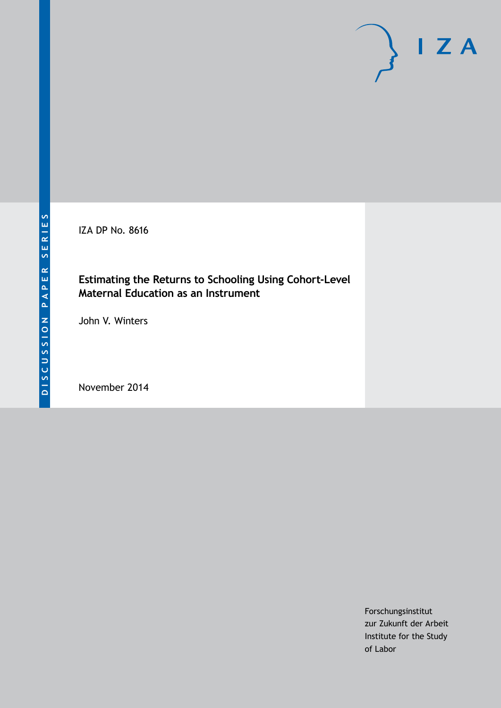IZA DP No. 8616

### **Estimating the Returns to Schooling Using Cohort-Level Maternal Education as an Instrument**

John V. Winters

November 2014

Forschungsinstitut zur Zukunft der Arbeit Institute for the Study of Labor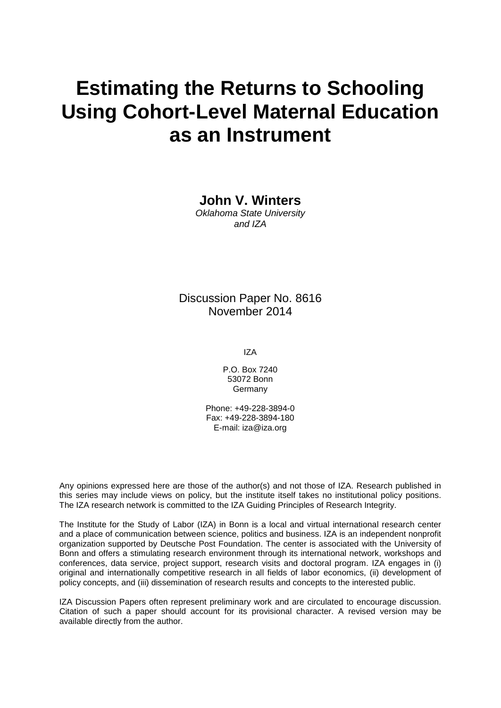# **Estimating the Returns to Schooling Using Cohort-Level Maternal Education as an Instrument**

**John V. Winters**

*Oklahoma State University and IZA*

Discussion Paper No. 8616 November 2014

IZA

P.O. Box 7240 53072 Bonn Germany

Phone: +49-228-3894-0 Fax: +49-228-3894-180 E-mail: [iza@iza.org](mailto:iza@iza.org)

Any opinions expressed here are those of the author(s) and not those of IZA. Research published in this series may include views on policy, but the institute itself takes no institutional policy positions. The IZA research network is committed to the IZA Guiding Principles of Research Integrity.

The Institute for the Study of Labor (IZA) in Bonn is a local and virtual international research center and a place of communication between science, politics and business. IZA is an independent nonprofit organization supported by Deutsche Post Foundation. The center is associated with the University of Bonn and offers a stimulating research environment through its international network, workshops and conferences, data service, project support, research visits and doctoral program. IZA engages in (i) original and internationally competitive research in all fields of labor economics, (ii) development of policy concepts, and (iii) dissemination of research results and concepts to the interested public.

IZA Discussion Papers often represent preliminary work and are circulated to encourage discussion. Citation of such a paper should account for its provisional character. A revised version may be available directly from the author.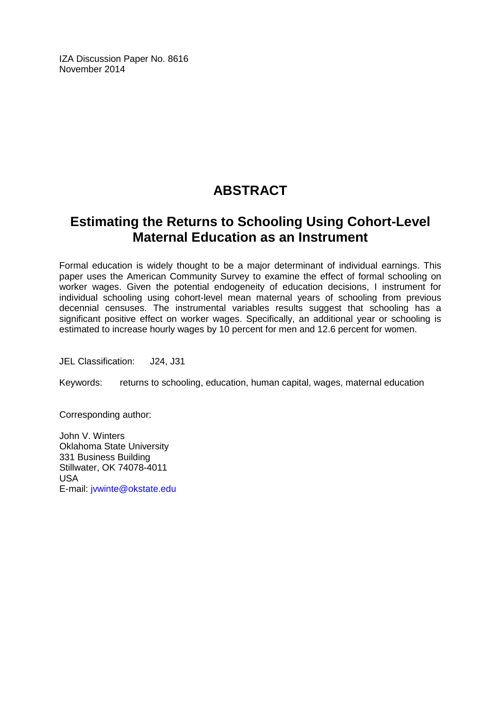IZA Discussion Paper No. 8616 November 2014

## **ABSTRACT**

## **Estimating the Returns to Schooling Using Cohort-Level Maternal Education as an Instrument**

Formal education is widely thought to be a major determinant of individual earnings. This paper uses the American Community Survey to examine the effect of formal schooling on worker wages. Given the potential endogeneity of education decisions, I instrument for individual schooling using cohort-level mean maternal years of schooling from previous decennial censuses. The instrumental variables results suggest that schooling has a significant positive effect on worker wages. Specifically, an additional year or schooling is estimated to increase hourly wages by 10 percent for men and 12.6 percent for women.

JEL Classification: J24, J31

Keywords: returns to schooling, education, human capital, wages, maternal education

Corresponding author:

John V. Winters Oklahoma State University 331 Business Building Stillwater, OK 74078-4011 USA E-mail: [jvwinte@okstate.edu](mailto:jvwinte@okstate.edu)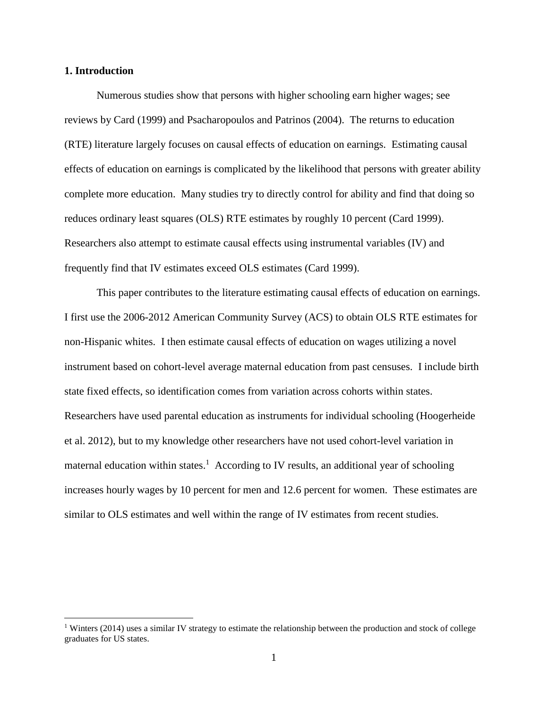#### **1. Introduction**

 $\overline{a}$ 

Numerous studies show that persons with higher schooling earn higher wages; see reviews by Card (1999) and Psacharopoulos and Patrinos (2004). The returns to education (RTE) literature largely focuses on causal effects of education on earnings. Estimating causal effects of education on earnings is complicated by the likelihood that persons with greater ability complete more education. Many studies try to directly control for ability and find that doing so reduces ordinary least squares (OLS) RTE estimates by roughly 10 percent (Card 1999). Researchers also attempt to estimate causal effects using instrumental variables (IV) and frequently find that IV estimates exceed OLS estimates (Card 1999).

This paper contributes to the literature estimating causal effects of education on earnings. I first use the 2006-2012 American Community Survey (ACS) to obtain OLS RTE estimates for non-Hispanic whites. I then estimate causal effects of education on wages utilizing a novel instrument based on cohort-level average maternal education from past censuses. I include birth state fixed effects, so identification comes from variation across cohorts within states. Researchers have used parental education as instruments for individual schooling (Hoogerheide et al. 2012), but to my knowledge other researchers have not used cohort-level variation in maternal education within states.<sup>1</sup> According to IV results, an additional year of schooling increases hourly wages by 10 percent for men and 12.6 percent for women. These estimates are similar to OLS estimates and well within the range of IV estimates from recent studies.

<sup>&</sup>lt;sup>1</sup> Winters (2014) uses a similar IV strategy to estimate the relationship between the production and stock of college graduates for US states.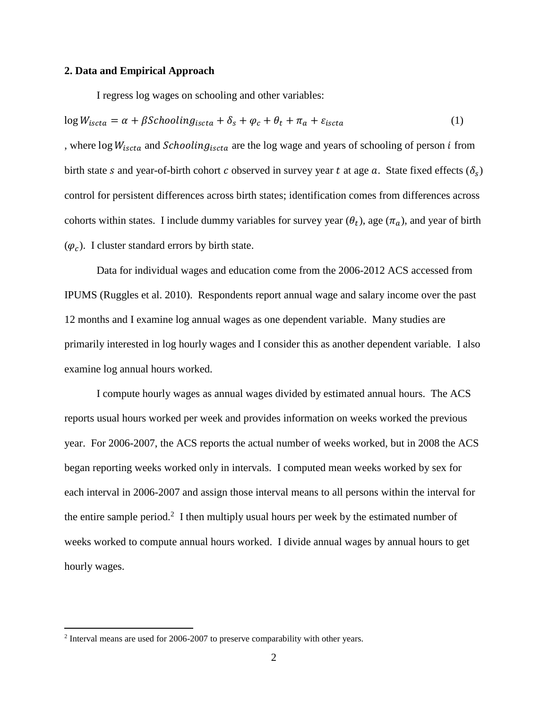#### **2. Data and Empirical Approach**

I regress log wages on schooling and other variables:

$$
\log W_{iscta} = \alpha + \beta \text{Schooling}_{iscta} + \delta_s + \varphi_c + \theta_t + \pi_a + \varepsilon_{iscta} \tag{1}
$$

, where  $\log W_{iscta}$  and *Schooling*<sub>iscta</sub> are the log wage and years of schooling of person *i* from birth state s and year-of-birth cohort c observed in survey year t at age  $a$ . State fixed effects  $(\delta_s)$ control for persistent differences across birth states; identification comes from differences across cohorts within states. I include dummy variables for survey year  $(\theta_t)$ , age  $(\pi_a)$ , and year of birth  $(\varphi_c)$ . I cluster standard errors by birth state.

Data for individual wages and education come from the 2006-2012 ACS accessed from IPUMS (Ruggles et al. 2010). Respondents report annual wage and salary income over the past 12 months and I examine log annual wages as one dependent variable. Many studies are primarily interested in log hourly wages and I consider this as another dependent variable. I also examine log annual hours worked.

I compute hourly wages as annual wages divided by estimated annual hours. The ACS reports usual hours worked per week and provides information on weeks worked the previous year. For 2006-2007, the ACS reports the actual number of weeks worked, but in 2008 the ACS began reporting weeks worked only in intervals. I computed mean weeks worked by sex for each interval in 2006-2007 and assign those interval means to all persons within the interval for the entire sample period.<sup>2</sup> I then multiply usual hours per week by the estimated number of weeks worked to compute annual hours worked. I divide annual wages by annual hours to get hourly wages.

 $2$  Interval means are used for 2006-2007 to preserve comparability with other years.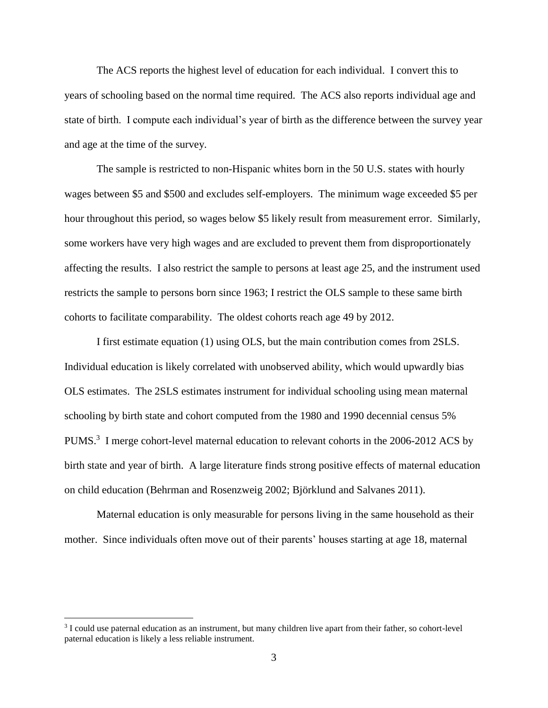The ACS reports the highest level of education for each individual. I convert this to years of schooling based on the normal time required. The ACS also reports individual age and state of birth. I compute each individual's year of birth as the difference between the survey year and age at the time of the survey.

The sample is restricted to non-Hispanic whites born in the 50 U.S. states with hourly wages between \$5 and \$500 and excludes self-employers. The minimum wage exceeded \$5 per hour throughout this period, so wages below \$5 likely result from measurement error. Similarly, some workers have very high wages and are excluded to prevent them from disproportionately affecting the results. I also restrict the sample to persons at least age 25, and the instrument used restricts the sample to persons born since 1963; I restrict the OLS sample to these same birth cohorts to facilitate comparability. The oldest cohorts reach age 49 by 2012.

I first estimate equation (1) using OLS, but the main contribution comes from 2SLS. Individual education is likely correlated with unobserved ability, which would upwardly bias OLS estimates. The 2SLS estimates instrument for individual schooling using mean maternal schooling by birth state and cohort computed from the 1980 and 1990 decennial census 5% PUMS.<sup>3</sup> I merge cohort-level maternal education to relevant cohorts in the 2006-2012 ACS by birth state and year of birth. A large literature finds strong positive effects of maternal education on child education (Behrman and Rosenzweig 2002; Björklund and Salvanes 2011).

Maternal education is only measurable for persons living in the same household as their mother. Since individuals often move out of their parents' houses starting at age 18, maternal

<sup>&</sup>lt;sup>3</sup> I could use paternal education as an instrument, but many children live apart from their father, so cohort-level paternal education is likely a less reliable instrument.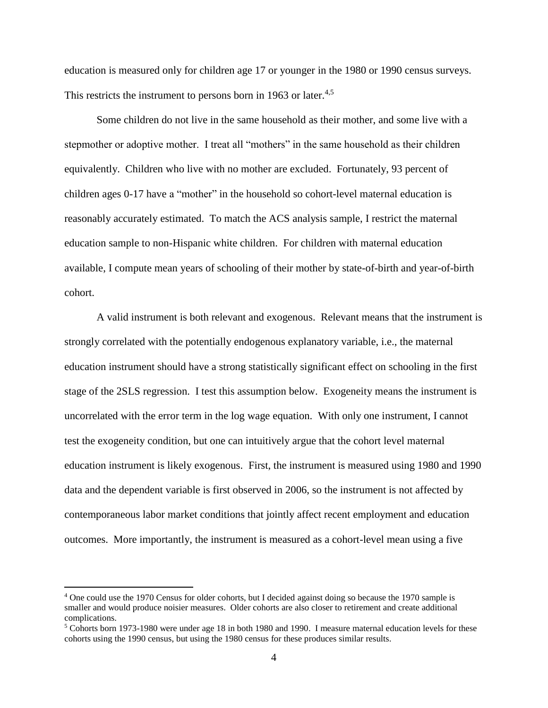education is measured only for children age 17 or younger in the 1980 or 1990 census surveys. This restricts the instrument to persons born in 1963 or later.<sup>4,5</sup>

Some children do not live in the same household as their mother, and some live with a stepmother or adoptive mother. I treat all "mothers" in the same household as their children equivalently. Children who live with no mother are excluded. Fortunately, 93 percent of children ages 0-17 have a "mother" in the household so cohort-level maternal education is reasonably accurately estimated. To match the ACS analysis sample, I restrict the maternal education sample to non-Hispanic white children. For children with maternal education available, I compute mean years of schooling of their mother by state-of-birth and year-of-birth cohort.

A valid instrument is both relevant and exogenous. Relevant means that the instrument is strongly correlated with the potentially endogenous explanatory variable, i.e., the maternal education instrument should have a strong statistically significant effect on schooling in the first stage of the 2SLS regression. I test this assumption below. Exogeneity means the instrument is uncorrelated with the error term in the log wage equation. With only one instrument, I cannot test the exogeneity condition, but one can intuitively argue that the cohort level maternal education instrument is likely exogenous. First, the instrument is measured using 1980 and 1990 data and the dependent variable is first observed in 2006, so the instrument is not affected by contemporaneous labor market conditions that jointly affect recent employment and education outcomes. More importantly, the instrument is measured as a cohort-level mean using a five

<sup>4</sup> One could use the 1970 Census for older cohorts, but I decided against doing so because the 1970 sample is smaller and would produce noisier measures. Older cohorts are also closer to retirement and create additional complications.

<sup>5</sup> Cohorts born 1973-1980 were under age 18 in both 1980 and 1990. I measure maternal education levels for these cohorts using the 1990 census, but using the 1980 census for these produces similar results.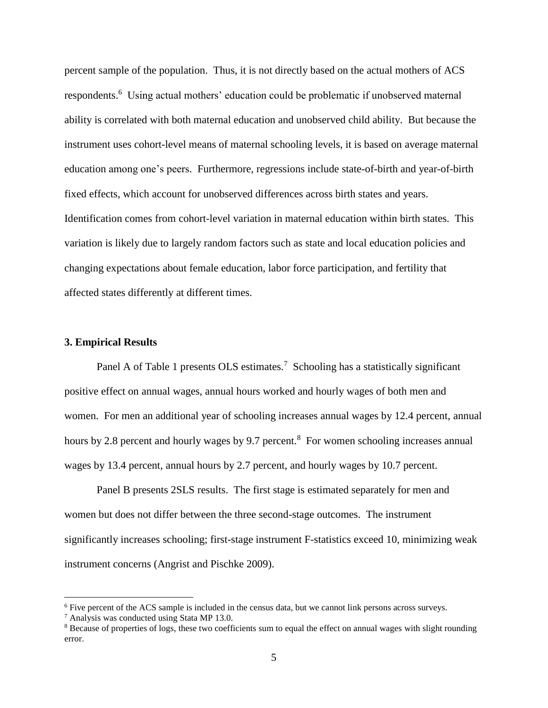percent sample of the population. Thus, it is not directly based on the actual mothers of ACS respondents.<sup>6</sup> Using actual mothers' education could be problematic if unobserved maternal ability is correlated with both maternal education and unobserved child ability. But because the instrument uses cohort-level means of maternal schooling levels, it is based on average maternal education among one's peers. Furthermore, regressions include state-of-birth and year-of-birth fixed effects, which account for unobserved differences across birth states and years. Identification comes from cohort-level variation in maternal education within birth states. This variation is likely due to largely random factors such as state and local education policies and changing expectations about female education, labor force participation, and fertility that affected states differently at different times.

#### **3. Empirical Results**

Panel A of Table 1 presents OLS estimates.<sup>7</sup> Schooling has a statistically significant positive effect on annual wages, annual hours worked and hourly wages of both men and women. For men an additional year of schooling increases annual wages by 12.4 percent, annual hours by 2.8 percent and hourly wages by 9.7 percent.<sup>8</sup> For women schooling increases annual wages by 13.4 percent, annual hours by 2.7 percent, and hourly wages by 10.7 percent.

Panel B presents 2SLS results. The first stage is estimated separately for men and women but does not differ between the three second-stage outcomes. The instrument significantly increases schooling; first-stage instrument F-statistics exceed 10, minimizing weak instrument concerns (Angrist and Pischke 2009).

<sup>6</sup> Five percent of the ACS sample is included in the census data, but we cannot link persons across surveys.

<sup>7</sup> Analysis was conducted using Stata MP 13.0.

<sup>&</sup>lt;sup>8</sup> Because of properties of logs, these two coefficients sum to equal the effect on annual wages with slight rounding error.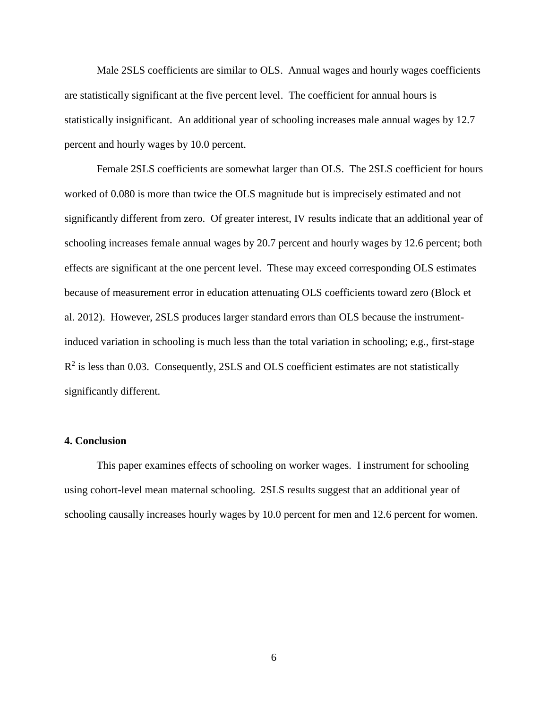Male 2SLS coefficients are similar to OLS. Annual wages and hourly wages coefficients are statistically significant at the five percent level. The coefficient for annual hours is statistically insignificant. An additional year of schooling increases male annual wages by 12.7 percent and hourly wages by 10.0 percent.

Female 2SLS coefficients are somewhat larger than OLS. The 2SLS coefficient for hours worked of 0.080 is more than twice the OLS magnitude but is imprecisely estimated and not significantly different from zero. Of greater interest, IV results indicate that an additional year of schooling increases female annual wages by 20.7 percent and hourly wages by 12.6 percent; both effects are significant at the one percent level. These may exceed corresponding OLS estimates because of measurement error in education attenuating OLS coefficients toward zero (Block et al. 2012). However, 2SLS produces larger standard errors than OLS because the instrumentinduced variation in schooling is much less than the total variation in schooling; e.g., first-stage  $R<sup>2</sup>$  is less than 0.03. Consequently, 2SLS and OLS coefficient estimates are not statistically significantly different.

#### **4. Conclusion**

This paper examines effects of schooling on worker wages. I instrument for schooling using cohort-level mean maternal schooling. 2SLS results suggest that an additional year of schooling causally increases hourly wages by 10.0 percent for men and 12.6 percent for women.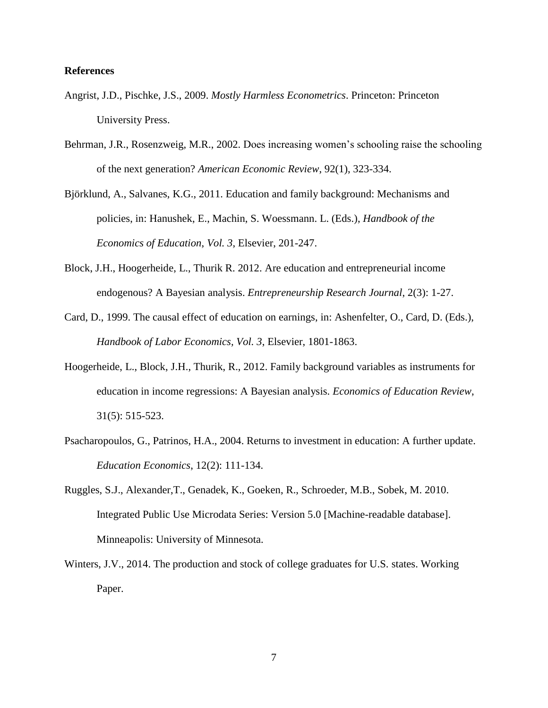#### **References**

- Angrist, J.D., Pischke, J.S., 2009. *Mostly Harmless Econometrics*. Princeton: Princeton University Press.
- Behrman, J.R., Rosenzweig, M.R., 2002. Does increasing women's schooling raise the schooling of the next generation? *American Economic Review*, 92(1), 323-334.
- Björklund, A., Salvanes, K.G., 2011. Education and family background: Mechanisms and policies, in: Hanushek, E., Machin, S. Woessmann. L. (Eds.), *Handbook of the Economics of Education*, *Vol. 3*, Elsevier, 201-247.
- Block, J.H., Hoogerheide, L., Thurik R. 2012. Are education and entrepreneurial income endogenous? A Bayesian analysis. *Entrepreneurship Research Journal*, 2(3): 1-27.
- Card, D., 1999. The causal effect of education on earnings, in: Ashenfelter, O., Card, D. (Eds.), *Handbook of Labor Economics, Vol. 3*, Elsevier, 1801-1863.
- Hoogerheide, L., Block, J.H., Thurik, R., 2012. Family background variables as instruments for education in income regressions: A Bayesian analysis. *Economics of Education Review*, 31(5): 515-523.
- Psacharopoulos, G., Patrinos, H.A., 2004. Returns to investment in education: A further update. *Education Economics*, 12(2): 111-134.
- Ruggles, S.J., Alexander,T., Genadek, K., Goeken, R., Schroeder, M.B., Sobek, M. 2010. Integrated Public Use Microdata Series: Version 5.0 [Machine-readable database]. Minneapolis: University of Minnesota.
- Winters, J.V., 2014. The production and stock of college graduates for U.S. states. Working Paper.